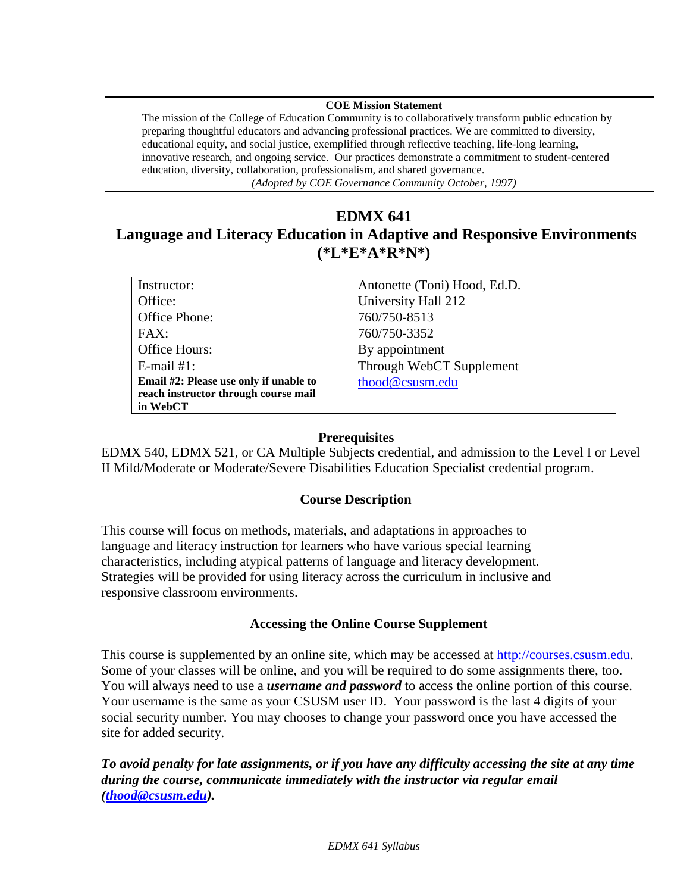#### **COE Mission Statement**

The mission of the College of Education Community is to collaboratively transform public education by preparing thoughtful educators and advancing professional practices. We are committed to diversity, educational equity, and social justice, exemplified through reflective teaching, life-long learning, innovative research, and ongoing service. Our practices demonstrate a commitment to student-centered education, diversity, collaboration, professionalism, and shared governance. *(Adopted by COE Governance Community October, 1997)*

# **EDMX 641**

# **Language and Literacy Education in Adaptive and Responsive Environments (\*L\*E\*A\*R\*N\*)**

| Instructor:                            | Antonette (Toni) Hood, Ed.D. |
|----------------------------------------|------------------------------|
| Office:                                | University Hall 212          |
| Office Phone:                          | 760/750-8513                 |
| FAX:                                   | 760/750-3352                 |
| Office Hours:                          | By appointment               |
| E-mail $#1$ :                          | Through WebCT Supplement     |
| Email #2: Please use only if unable to | thood@csusm.edu              |
| reach instructor through course mail   |                              |
| in WebCT                               |                              |

#### **Prerequisites**

EDMX 540, EDMX 521, or CA Multiple Subjects credential, and admission to the Level I or Level II Mild/Moderate or Moderate/Severe Disabilities Education Specialist credential program.

#### **Course Description**

This course will focus on methods, materials, and adaptations in approaches to language and literacy instruction for learners who have various special learning characteristics, including atypical patterns of language and literacy development. Strategies will be provided for using literacy across the curriculum in inclusive and responsive classroom environments.

#### **Accessing the Online Course Supplement**

This course is supplemented by an online site, which may be accessed at [http://courses.csusm.edu.](http://courses.csusm.edu/) Some of your classes will be online, and you will be required to do some assignments there, too. You will always need to use a *username and password* to access the online portion of this course. Your username is the same as your CSUSM user ID. Your password is the last 4 digits of your social security number. You may chooses to change your password once you have accessed the site for added security.

*To avoid penalty for late assignments, or if you have any difficulty accessing the site at any time during the course, communicate immediately with the instructor via regular email [\(thood@csusm.edu\)](mailto:thood@csusm.edu).*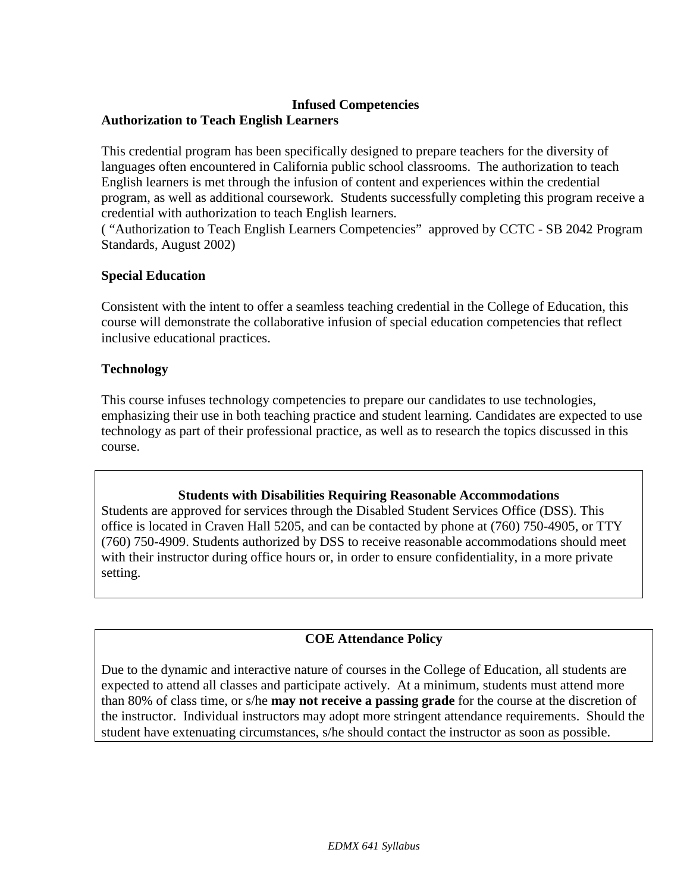### **Infused Competencies**

## **Authorization to Teach English Learners**

This credential program has been specifically designed to prepare teachers for the diversity of languages often encountered in California public school classrooms. The authorization to teach English learners is met through the infusion of content and experiences within the credential program, as well as additional coursework. Students successfully completing this program receive a credential with authorization to teach English learners.

( "Authorization to Teach English Learners Competencies" approved by CCTC - SB 2042 Program Standards, August 2002)

### **Special Education**

Consistent with the intent to offer a seamless teaching credential in the College of Education, this course will demonstrate the collaborative infusion of special education competencies that reflect inclusive educational practices.

### **Technology**

This course infuses technology competencies to prepare our candidates to use technologies, emphasizing their use in both teaching practice and student learning. Candidates are expected to use technology as part of their professional practice, as well as to research the topics discussed in this course.

### **Students with Disabilities Requiring Reasonable Accommodations**

Students are approved for services through the Disabled Student Services Office (DSS). This office is located in Craven Hall 5205, and can be contacted by phone at (760) 750-4905, or TTY (760) 750-4909. Students authorized by DSS to receive reasonable accommodations should meet with their instructor during office hours or, in order to ensure confidentiality, in a more private setting.

# **COE Attendance Policy**

Due to the dynamic and interactive nature of courses in the College of Education, all students are expected to attend all classes and participate actively. At a minimum, students must attend more than 80% of class time, or s/he **may not receive a passing grade** for the course at the discretion of the instructor. Individual instructors may adopt more stringent attendance requirements. Should the student have extenuating circumstances, s/he should contact the instructor as soon as possible.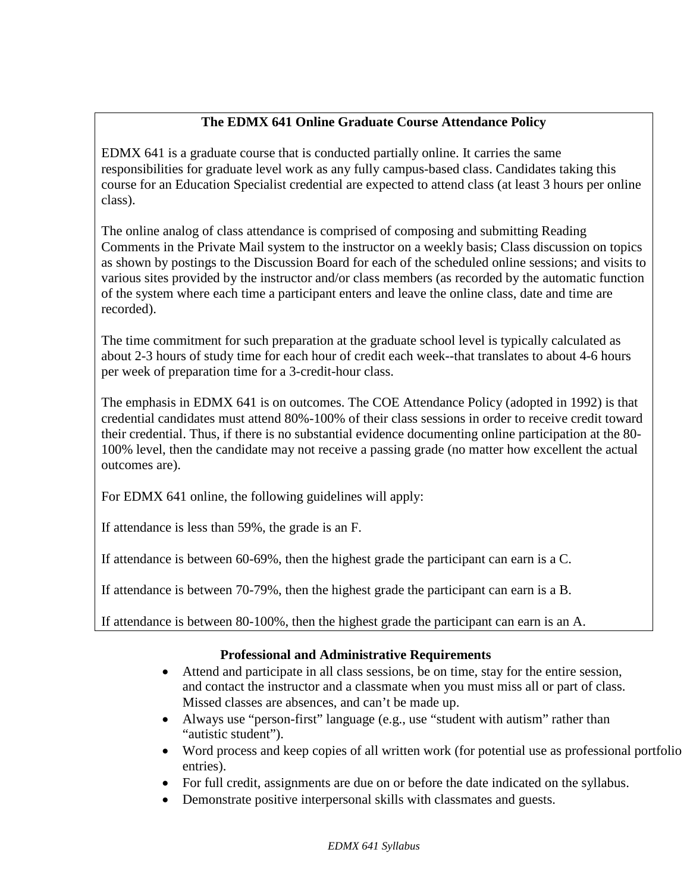# **The EDMX 641 Online Graduate Course Attendance Policy**

EDMX 641 is a graduate course that is conducted partially online. It carries the same responsibilities for graduate level work as any fully campus-based class. Candidates taking this course for an Education Specialist credential are expected to attend class (at least 3 hours per online class).

The online analog of class attendance is comprised of composing and submitting Reading Comments in the Private Mail system to the instructor on a weekly basis; Class discussion on topics as shown by postings to the Discussion Board for each of the scheduled online sessions; and visits to various sites provided by the instructor and/or class members (as recorded by the automatic function of the system where each time a participant enters and leave the online class, date and time are recorded).

The time commitment for such preparation at the graduate school level is typically calculated as about 2-3 hours of study time for each hour of credit each week--that translates to about 4-6 hours per week of preparation time for a 3-credit-hour class.

The emphasis in EDMX 641 is on outcomes. The COE Attendance Policy (adopted in 1992) is that credential candidates must attend 80%-100% of their class sessions in order to receive credit toward their credential. Thus, if there is no substantial evidence documenting online participation at the 80- 100% level, then the candidate may not receive a passing grade (no matter how excellent the actual outcomes are).

For EDMX 641 online, the following guidelines will apply:

If attendance is less than 59%, the grade is an F.

If attendance is between 60-69%, then the highest grade the participant can earn is a C.

If attendance is between 70-79%, then the highest grade the participant can earn is a B.

If attendance is between 80-100%, then the highest grade the participant can earn is an A.

# **Professional and Administrative Requirements**

- Attend and participate in all class sessions, be on time, stay for the entire session, and contact the instructor and a classmate when you must miss all or part of class. Missed classes are absences, and can't be made up.
- Always use "person-first" language (e.g., use "student with autism" rather than "autistic student").
- Word process and keep copies of all written work (for potential use as professional portfolio entries).
- For full credit, assignments are due on or before the date indicated on the syllabus.
- Demonstrate positive interpersonal skills with classmates and guests.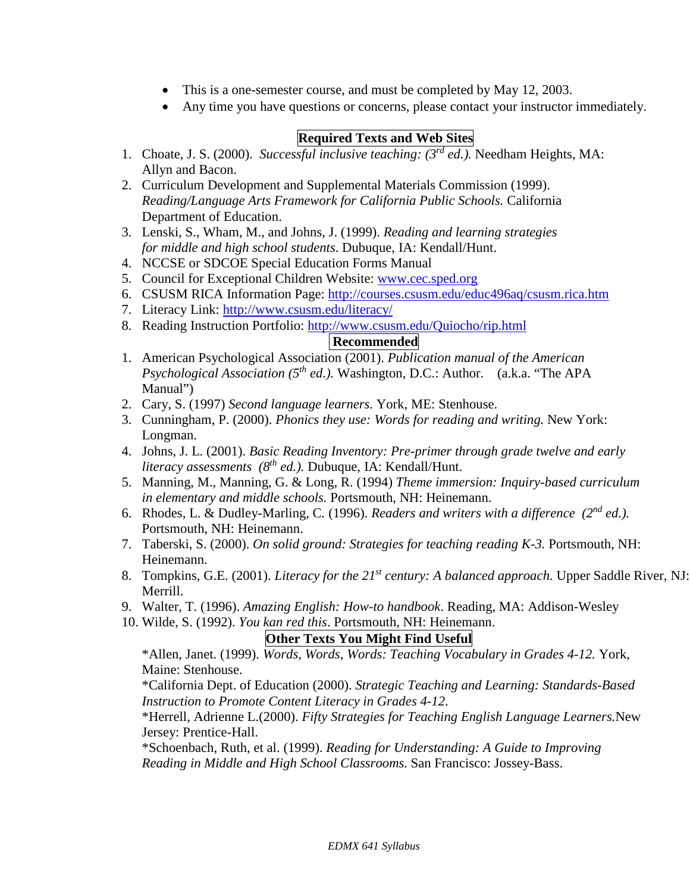- This is a one-semester course, and must be completed by May 12, 2003.
- Any time you have questions or concerns, please contact your instructor immediately.

# **Required Texts and Web Sites**

- 1. Choate, J. S. (2000). *Successful inclusive teaching: (3rd ed.).* Needham Heights, MA: Allyn and Bacon.
- 2. Curriculum Development and Supplemental Materials Commission (1999). *Reading/Language Arts Framework for California Public Schools.* California Department of Education.
- 3. Lenski, S., Wham, M., and Johns, J. (1999). *Reading and learning strategies for middle and high school students*. Dubuque, IA: Kendall/Hunt.
- 4. NCCSE or SDCOE Special Education Forms Manual
- 5. Council for Exceptional Children Website: [www.cec.sped.org](http://www.cec.sped.org/)
- 6. CSUSM RICA Information Page:<http://courses.csusm.edu/educ496aq/csusm.rica.htm>
- 7. Literacy Link:<http://www.csusm.edu/literacy/>
- 8. Reading Instruction Portfolio: <http://www.csusm.edu/Quiocho/rip.html>

### **Recommended**

- 1. American Psychological Association (2001). *Publication manual of the American Psychological Association (5th ed.).* Washington, D.C.: Author. (a.k.a. "The APA Manual")
- 2. Cary, S. (1997) *Second language learners.* York, ME: Stenhouse.
- 3. Cunningham, P. (2000). *Phonics they use: Words for reading and writing.* New York: Longman.
- 4. Johns, J. L. (2001). *Basic Reading Inventory: Pre-primer through grade twelve and early literacy assessments (8th ed.).* Dubuque, IA: Kendall/Hunt.
- 5. Manning, M., Manning, G. & Long, R. (1994) *Theme immersion: Inquiry-based curriculum in elementary and middle schools.* Portsmouth, NH: Heinemann.
- 6. Rhodes, L. & Dudley-Marling, C*.* (1996). *Readers and writers with a difference (2nd ed.).*  Portsmouth, NH: Heinemann.
- 7. Taberski, S. (2000). *On solid ground: Strategies for teaching reading K-3.* Portsmouth, NH: Heinemann.
- 8. Tompkins, G.E. (2001). *Literacy for the 21st century: A balanced approach.* Upper Saddle River, NJ: Merrill.
- 9. Walter, T. (1996). *Amazing English: How-to handbook*. Reading, MA: Addison-Wesley
- 10. Wilde, S. (1992). *You kan red this*. Portsmouth, NH: Heinemann.

# **Other Texts You Might Find Useful**

\*Allen, Janet. (1999). *Words, Words, Words: Teaching Vocabulary in Grades 4-12.* York, Maine: Stenhouse.

\*California Dept. of Education (2000). *Strategic Teaching and Learning: Standards-Based Instruction to Promote Content Literacy in Grades 4-12*.

\*Herrell, Adrienne L.(2000). *Fifty Strategies for Teaching English Language Learners.*New Jersey: Prentice-Hall.

\*Schoenbach, Ruth, et al. (1999). *Reading for Understanding: A Guide to Improving Reading in Middle and High School Classrooms.* San Francisco: Jossey-Bass.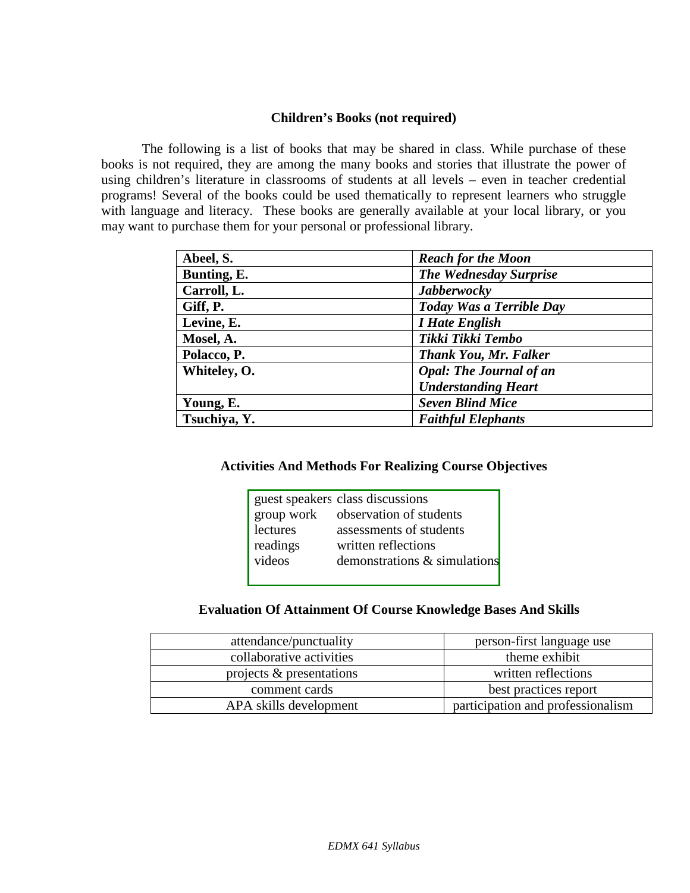#### **Children's Books (not required)**

The following is a list of books that may be shared in class. While purchase of these books is not required, they are among the many books and stories that illustrate the power of using children's literature in classrooms of students at all levels – even in teacher credential programs! Several of the books could be used thematically to represent learners who struggle with language and literacy. These books are generally available at your local library, or you may want to purchase them for your personal or professional library.

| Abeel, S.    | <b>Reach for the Moon</b>      |
|--------------|--------------------------------|
| Bunting, E.  | <b>The Wednesday Surprise</b>  |
| Carroll, L.  | <b>Jabberwocky</b>             |
| Giff, P.     | Today Was a Terrible Day       |
| Levine, E.   | <i>I Hate English</i>          |
| Mosel, A.    | Tikki Tikki Tembo              |
| Polacco, P.  | <b>Thank You, Mr. Falker</b>   |
| Whiteley, O. | <b>Opal: The Journal of an</b> |
|              | <b>Understanding Heart</b>     |
| Young, E.    | <b>Seven Blind Mice</b>        |
| Tsuchiya, Y. | <b>Faithful Elephants</b>      |

#### **Activities And Methods For Realizing Course Objectives**

|            | guest speakers class discussions |
|------------|----------------------------------|
| group work | observation of students          |
| lectures   | assessments of students          |
| readings   | written reflections              |
| videos     | demonstrations & simulations     |
|            |                                  |

# **Evaluation Of Attainment Of Course Knowledge Bases And Skills**

| attendance/punctuality   | person-first language use         |
|--------------------------|-----------------------------------|
| collaborative activities | theme exhibit                     |
| projects & presentations | written reflections               |
| comment cards            | best practices report             |
| APA skills development   | participation and professionalism |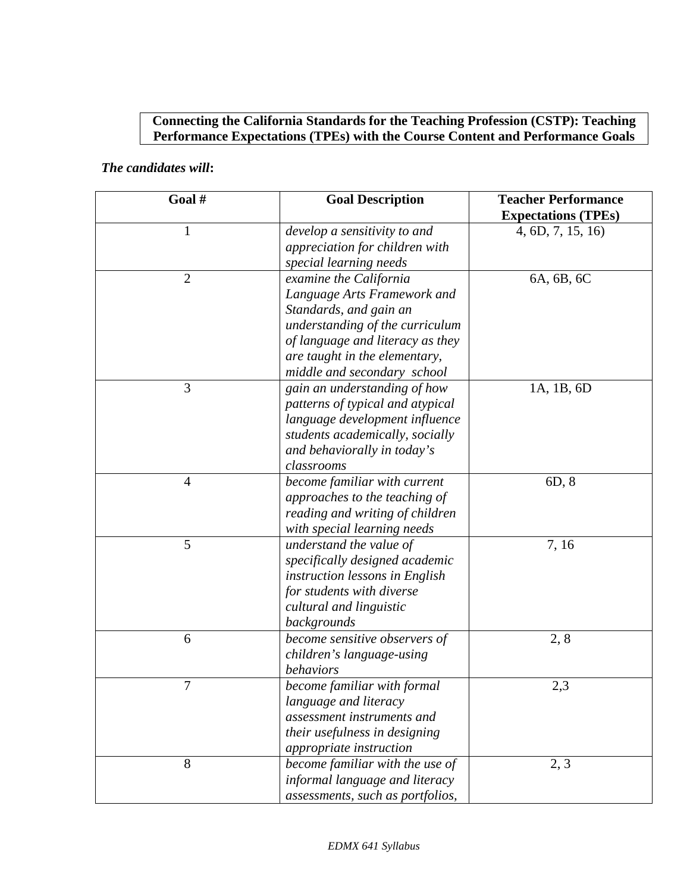# **Connecting the California Standards for the Teaching Profession (CSTP): Teaching Performance Expectations (TPEs) with the Course Content and Performance Goals**

## *The candidates will***:**

| Goal#          | <b>Goal Description</b>                                        | <b>Teacher Performance</b><br><b>Expectations (TPEs)</b> |
|----------------|----------------------------------------------------------------|----------------------------------------------------------|
| $\mathbf{1}$   | develop a sensitivity to and<br>appreciation for children with | 4, 6D, 7, 15, 16                                         |
|                | special learning needs                                         |                                                          |
| $\overline{2}$ | examine the California                                         | 6A, 6B, 6C                                               |
|                | Language Arts Framework and                                    |                                                          |
|                | Standards, and gain an                                         |                                                          |
|                | understanding of the curriculum                                |                                                          |
|                | of language and literacy as they                               |                                                          |
|                | are taught in the elementary,                                  |                                                          |
|                | middle and secondary school                                    |                                                          |
| 3              | gain an understanding of how                                   | 1A, 1B, 6D                                               |
|                | patterns of typical and atypical                               |                                                          |
|                | language development influence                                 |                                                          |
|                | students academically, socially                                |                                                          |
|                | and behaviorally in today's                                    |                                                          |
|                | classrooms                                                     |                                                          |
| $\overline{4}$ | become familiar with current                                   | 6D, 8                                                    |
|                | approaches to the teaching of                                  |                                                          |
|                | reading and writing of children                                |                                                          |
|                | with special learning needs                                    |                                                          |
| 5              | understand the value of                                        | 7,16                                                     |
|                | specifically designed academic                                 |                                                          |
|                | instruction lessons in English                                 |                                                          |
|                | for students with diverse                                      |                                                          |
|                | cultural and linguistic                                        |                                                          |
|                | backgrounds                                                    |                                                          |
| 6              | become sensitive observers of                                  | 2, 8                                                     |
|                | children's language-using                                      |                                                          |
|                | behaviors                                                      |                                                          |
| $\tau$         | become familiar with formal                                    | 2,3                                                      |
|                | language and literacy                                          |                                                          |
|                | assessment instruments and                                     |                                                          |
|                | their usefulness in designing                                  |                                                          |
|                | appropriate instruction                                        |                                                          |
| 8              | become familiar with the use of                                | 2, 3                                                     |
|                | informal language and literacy                                 |                                                          |
|                | assessments, such as portfolios,                               |                                                          |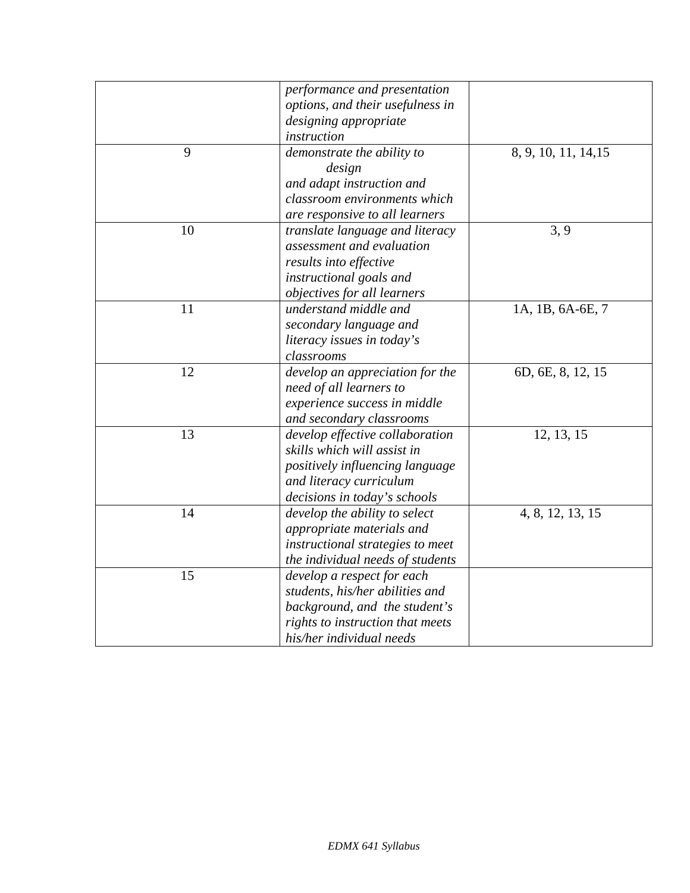|    | performance and presentation     |                      |
|----|----------------------------------|----------------------|
|    | options, and their usefulness in |                      |
|    | designing appropriate            |                      |
|    | instruction                      |                      |
| 9  | demonstrate the ability to       | 8, 9, 10, 11, 14, 15 |
|    | design                           |                      |
|    | and adapt instruction and        |                      |
|    | classroom environments which     |                      |
|    | are responsive to all learners   |                      |
| 10 | translate language and literacy  | 3, 9                 |
|    | assessment and evaluation        |                      |
|    | results into effective           |                      |
|    | instructional goals and          |                      |
|    | objectives for all learners      |                      |
| 11 | understand middle and            | 1A, 1B, 6A-6E, 7     |
|    | secondary language and           |                      |
|    | literacy issues in today's       |                      |
|    | classrooms                       |                      |
| 12 | develop an appreciation for the  | 6D, 6E, 8, 12, 15    |
|    | need of all learners to          |                      |
|    | experience success in middle     |                      |
|    | and secondary classrooms         |                      |
| 13 | develop effective collaboration  | 12, 13, 15           |
|    | skills which will assist in      |                      |
|    | positively influencing language  |                      |
|    | and literacy curriculum          |                      |
|    | decisions in today's schools     |                      |
| 14 | develop the ability to select    | 4, 8, 12, 13, 15     |
|    | appropriate materials and        |                      |
|    | instructional strategies to meet |                      |
|    | the individual needs of students |                      |
| 15 | develop a respect for each       |                      |
|    | students, his/her abilities and  |                      |
|    | background, and the student's    |                      |
|    | rights to instruction that meets |                      |
|    | his/her individual needs         |                      |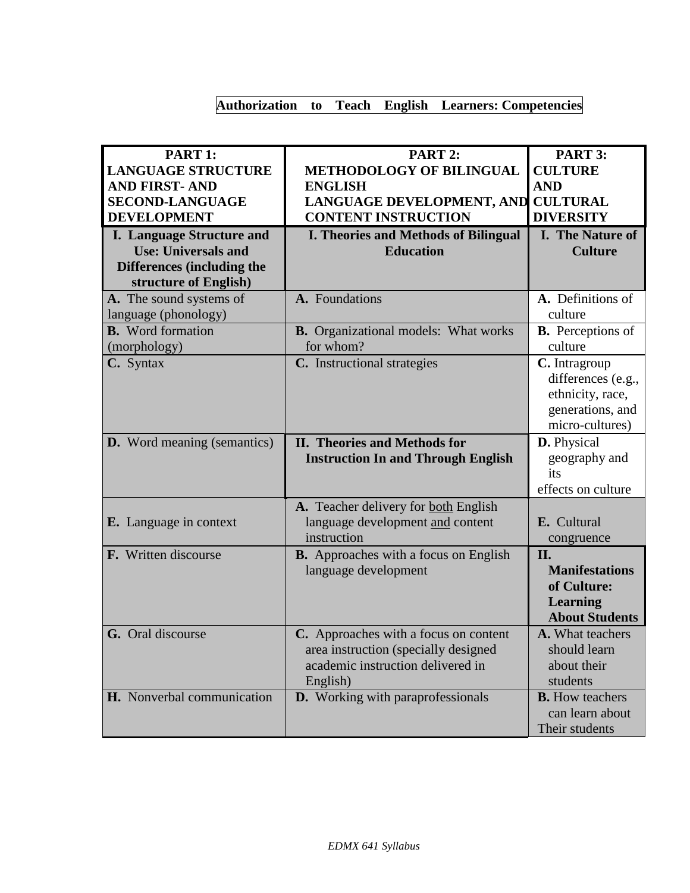# **Authorization to Teach English Learners: Competencies**

| PART 1:                            | PART 2:                                      | PART 3:                              |
|------------------------------------|----------------------------------------------|--------------------------------------|
| <b>LANGUAGE STRUCTURE</b>          | <b>METHODOLOGY OF BILINGUAL</b>              | <b>CULTURE</b>                       |
| <b>AND FIRST-AND</b>               | <b>ENGLISH</b>                               | <b>AND</b>                           |
| <b>SECOND-LANGUAGE</b>             | LANGUAGE DEVELOPMENT, AND CULTURAL           |                                      |
| <b>DEVELOPMENT</b>                 | <b>CONTENT INSTRUCTION</b>                   | <b>DIVERSITY</b>                     |
| <b>I. Language Structure and</b>   | <b>I. Theories and Methods of Bilingual</b>  | <b>I.</b> The Nature of              |
| <b>Use: Universals and</b>         | <b>Education</b>                             | <b>Culture</b>                       |
| <b>Differences (including the</b>  |                                              |                                      |
| structure of English)              |                                              |                                      |
| A. The sound systems of            | A. Foundations                               | A. Definitions of                    |
| language (phonology)               |                                              | culture                              |
| <b>B.</b> Word formation           | <b>B.</b> Organizational models: What works  | <b>B.</b> Perceptions of             |
| (morphology)                       | for whom?                                    | culture                              |
| C. Syntax                          | C. Instructional strategies                  | C. Intragroup                        |
|                                    |                                              | differences (e.g.,                   |
|                                    |                                              | ethnicity, race,                     |
|                                    |                                              | generations, and                     |
|                                    |                                              | micro-cultures)                      |
| <b>D.</b> Word meaning (semantics) | <b>II. Theories and Methods for</b>          | D. Physical                          |
|                                    | <b>Instruction In and Through English</b>    | geography and                        |
|                                    |                                              | its                                  |
|                                    |                                              | effects on culture                   |
|                                    | A. Teacher delivery for both English         |                                      |
| <b>E.</b> Language in context      | language development and content             | E. Cultural                          |
|                                    | instruction                                  | congruence                           |
| F. Written discourse               | <b>B.</b> Approaches with a focus on English | II.                                  |
|                                    | language development                         | <b>Manifestations</b><br>of Culture: |
|                                    |                                              | <b>Learning</b>                      |
|                                    |                                              | <b>About Students</b>                |
| G. Oral discourse                  | C. Approaches with a focus on content        | A. What teachers                     |
|                                    | area instruction (specially designed         | should learn                         |
|                                    | academic instruction delivered in            | about their                          |
|                                    | English)                                     | students                             |
| H. Nonverbal communication         | <b>D.</b> Working with paraprofessionals     | <b>B.</b> How teachers               |
|                                    |                                              | can learn about                      |
|                                    |                                              | Their students                       |
|                                    |                                              |                                      |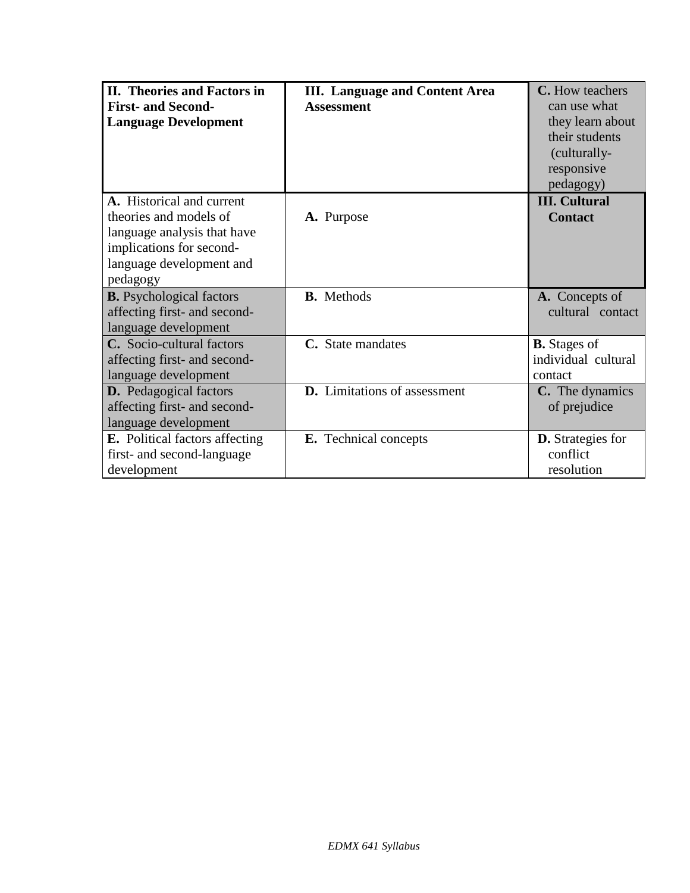| II. Theories and Factors in           | <b>III.</b> Language and Content Area | C. How teachers          |
|---------------------------------------|---------------------------------------|--------------------------|
| <b>First- and Second-</b>             | <b>Assessment</b>                     | can use what             |
| <b>Language Development</b>           |                                       | they learn about         |
|                                       |                                       | their students           |
|                                       |                                       | (culturally-             |
|                                       |                                       | responsive               |
|                                       |                                       | pedagogy)                |
| A. Historical and current             |                                       | <b>III.</b> Cultural     |
| theories and models of                | A. Purpose                            | <b>Contact</b>           |
| language analysis that have           |                                       |                          |
| implications for second-              |                                       |                          |
| language development and              |                                       |                          |
| pedagogy                              |                                       |                          |
| <b>B.</b> Psychological factors       | <b>B.</b> Methods                     | A. Concepts of           |
| affecting first- and second-          |                                       | cultural contact         |
| language development                  |                                       |                          |
| C. Socio-cultural factors             | C. State mandates                     | <b>B.</b> Stages of      |
| affecting first- and second-          |                                       | individual cultural      |
| language development                  |                                       | contact                  |
| <b>D.</b> Pedagogical factors         | <b>D.</b> Limitations of assessment   | C. The dynamics          |
| affecting first- and second-          |                                       | of prejudice             |
| language development                  |                                       |                          |
| <b>E.</b> Political factors affecting | E. Technical concepts                 | <b>D.</b> Strategies for |
| first- and second-language            |                                       | conflict                 |
| development                           |                                       | resolution               |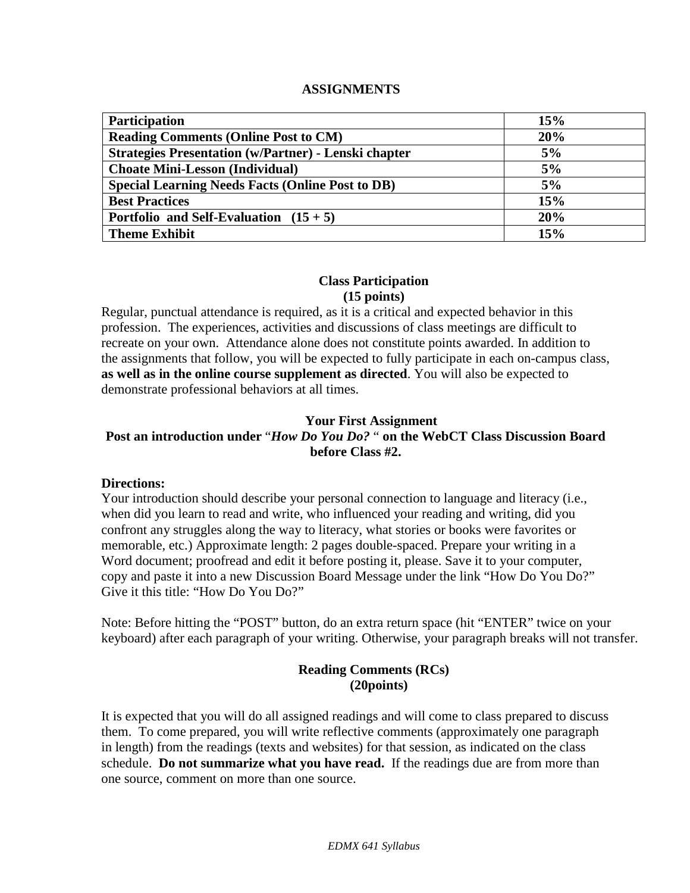#### **ASSIGNMENTS**

| <b>Participation</b>                                        | 15% |
|-------------------------------------------------------------|-----|
| <b>Reading Comments (Online Post to CM)</b>                 | 20% |
| <b>Strategies Presentation (w/Partner) - Lenski chapter</b> | 5%  |
| <b>Choate Mini-Lesson (Individual)</b>                      | 5%  |
| <b>Special Learning Needs Facts (Online Post to DB)</b>     | 5%  |
| <b>Best Practices</b>                                       | 15% |
| Portfolio and Self-Evaluation $(15 + 5)$                    | 20% |
| <b>Theme Exhibit</b>                                        | 15% |

#### **Class Participation (15 points)**

Regular, punctual attendance is required, as it is a critical and expected behavior in this profession. The experiences, activities and discussions of class meetings are difficult to recreate on your own. Attendance alone does not constitute points awarded. In addition to the assignments that follow, you will be expected to fully participate in each on-campus class, **as well as in the online course supplement as directed**. You will also be expected to demonstrate professional behaviors at all times.

#### **Your First Assignment**

# **Post an introduction under** "*How Do You Do?* " **on the WebCT Class Discussion Board before Class #2.**

#### **Directions:**

Your introduction should describe your personal connection to language and literacy (i.e., when did you learn to read and write, who influenced your reading and writing, did you confront any struggles along the way to literacy, what stories or books were favorites or memorable, etc.) Approximate length: 2 pages double-spaced. Prepare your writing in a Word document; proofread and edit it before posting it, please. Save it to your computer, copy and paste it into a new Discussion Board Message under the link "How Do You Do?" Give it this title: "How Do You Do?"

Note: Before hitting the "POST" button, do an extra return space (hit "ENTER" twice on your keyboard) after each paragraph of your writing. Otherwise, your paragraph breaks will not transfer.

### **Reading Comments (RCs) (20points)**

It is expected that you will do all assigned readings and will come to class prepared to discuss them. To come prepared, you will write reflective comments (approximately one paragraph in length) from the readings (texts and websites) for that session, as indicated on the class schedule. **Do not summarize what you have read.** If the readings due are from more than one source, comment on more than one source.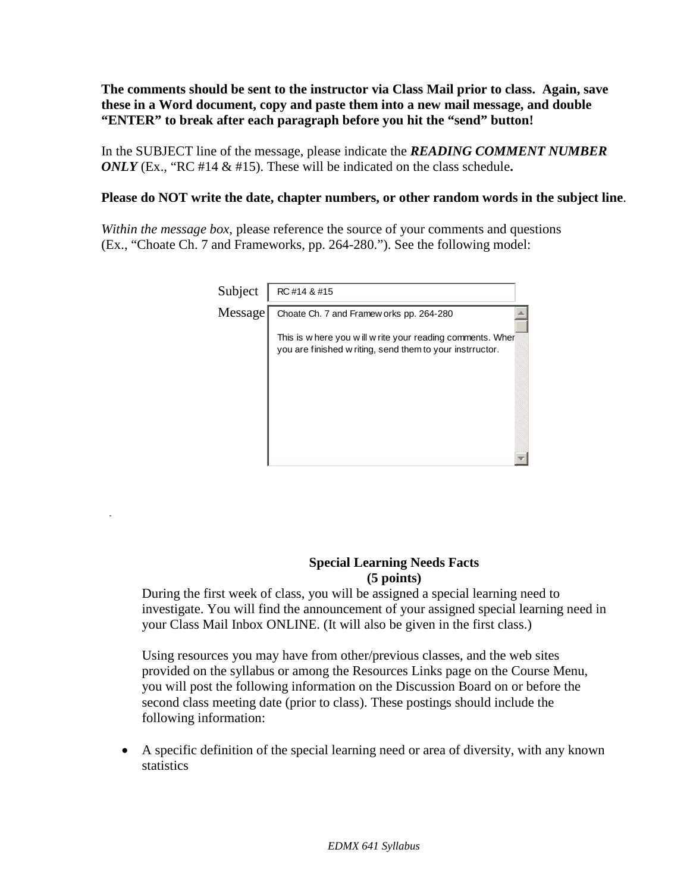**The comments should be sent to the instructor via Class Mail prior to class. Again, save these in a Word document, copy and paste them into a new mail message, and double "ENTER" to break after each paragraph before you hit the "send" button!**

In the SUBJECT line of the message, please indicate the *READING COMMENT NUMBER ONLY* (Ex., "RC #14 & #15). These will be indicated on the class schedule**.** 

#### **Please do NOT write the date, chapter numbers, or other random words in the subject line**.

*Within the message box*, please reference the source of your comments and questions (Ex., "Choate Ch. 7 and Frameworks, pp. 264-280."). See the following model:

| Subject | RC #14 & #15                                                                                                             |
|---------|--------------------------------------------------------------------------------------------------------------------------|
| Message | Choate Ch. 7 and Framew orks pp. 264-280                                                                                 |
|         | This is w here you w ill w rite your reading comments. Wher<br>you are finished w riting, send them to your instrructor. |
|         |                                                                                                                          |
|         |                                                                                                                          |
|         |                                                                                                                          |

#### **Special Learning Needs Facts (5 points)**

During the first week of class, you will be assigned a special learning need to investigate. You will find the announcement of your assigned special learning need in your Class Mail Inbox ONLINE. (It will also be given in the first class.)

Using resources you may have from other/previous classes, and the web sites provided on the syllabus or among the Resources Links page on the Course Menu, you will post the following information on the Discussion Board on or before the second class meeting date (prior to class). These postings should include the following information:

• A specific definition of the special learning need or area of diversity, with any known statistics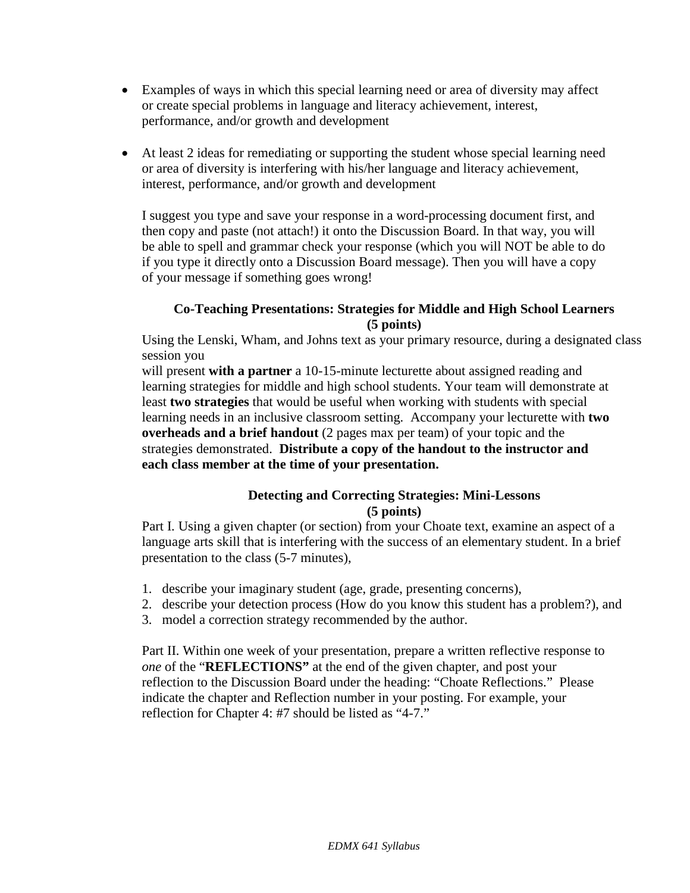- Examples of ways in which this special learning need or area of diversity may affect or create special problems in language and literacy achievement, interest, performance, and/or growth and development
- At least 2 ideas for remediating or supporting the student whose special learning need or area of diversity is interfering with his/her language and literacy achievement, interest, performance, and/or growth and development

I suggest you type and save your response in a word-processing document first, and then copy and paste (not attach!) it onto the Discussion Board. In that way, you will be able to spell and grammar check your response (which you will NOT be able to do if you type it directly onto a Discussion Board message). Then you will have a copy of your message if something goes wrong!

#### **Co-Teaching Presentations: Strategies for Middle and High School Learners (5 points)**

Using the Lenski, Wham, and Johns text as your primary resource, during a designated class session you

will present **with a partner** a 10-15-minute lecturette about assigned reading and learning strategies for middle and high school students. Your team will demonstrate at least **two strategies** that would be useful when working with students with special learning needs in an inclusive classroom setting. Accompany your lecturette with **two overheads and a brief handout** (2 pages max per team) of your topic and the strategies demonstrated. **Distribute a copy of the handout to the instructor and each class member at the time of your presentation.** 

#### **Detecting and Correcting Strategies: Mini-Lessons (5 points)**

Part I. Using a given chapter (or section) from your Choate text, examine an aspect of a language arts skill that is interfering with the success of an elementary student. In a brief presentation to the class (5-7 minutes),

- 1. describe your imaginary student (age, grade, presenting concerns),
- 2. describe your detection process (How do you know this student has a problem?), and
- 3. model a correction strategy recommended by the author.

Part II. Within one week of your presentation, prepare a written reflective response to *one* of the "**REFLECTIONS"** at the end of the given chapter, and post your reflection to the Discussion Board under the heading: "Choate Reflections." Please indicate the chapter and Reflection number in your posting. For example, your reflection for Chapter 4: #7 should be listed as "4-7."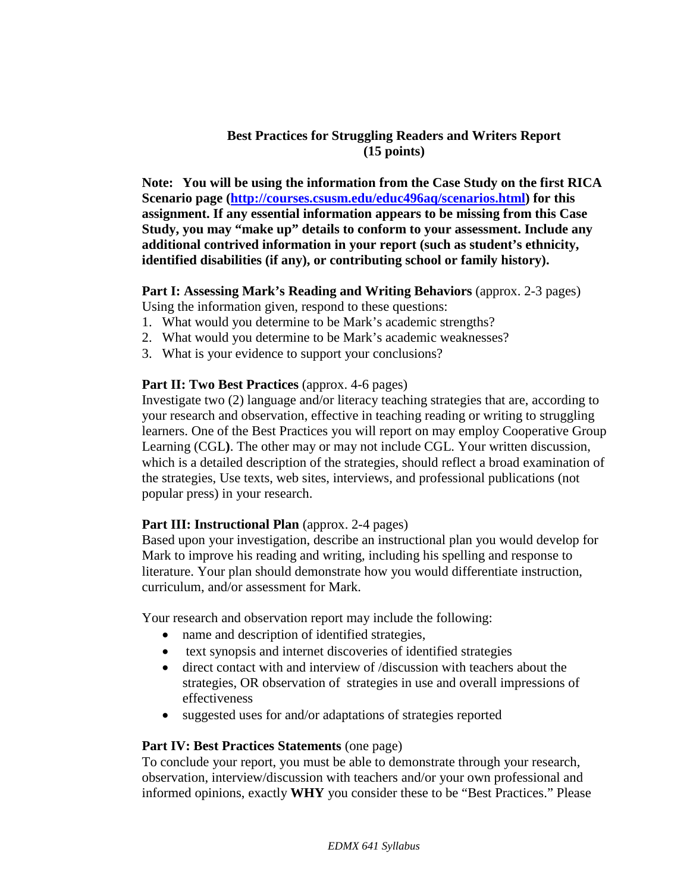#### **Best Practices for Struggling Readers and Writers Report (15 points)**

**Note: You will be using the information from the Case Study on the first RICA Scenario page [\(http://courses.csusm.edu/educ496aq/scenarios.html\)](http://courses.csusm.edu/educ496aq/scenarios.html) for this assignment. If any essential information appears to be missing from this Case Study, you may "make up" details to conform to your assessment. Include any additional contrived information in your report (such as student's ethnicity, identified disabilities (if any), or contributing school or family history).**

#### **Part I: Assessing Mark's Reading and Writing Behaviors** (approx. 2-3 pages) Using the information given, respond to these questions:

- 1. What would you determine to be Mark's academic strengths?
- 2. What would you determine to be Mark's academic weaknesses?
- 3. What is your evidence to support your conclusions?

#### **Part II: Two Best Practices** (approx. 4-6 pages)

Investigate two (2) language and/or literacy teaching strategies that are, according to your research and observation, effective in teaching reading or writing to struggling learners. One of the Best Practices you will report on may employ Cooperative Group Learning (CGL**)**. The other may or may not include CGL. Your written discussion, which is a detailed description of the strategies, should reflect a broad examination of the strategies, Use texts, web sites, interviews, and professional publications (not popular press) in your research.

#### **Part III: Instructional Plan** (approx. 2-4 pages)

Based upon your investigation, describe an instructional plan you would develop for Mark to improve his reading and writing, including his spelling and response to literature. Your plan should demonstrate how you would differentiate instruction, curriculum, and/or assessment for Mark.

Your research and observation report may include the following:

- name and description of identified strategies,
- text synopsis and internet discoveries of identified strategies
- direct contact with and interview of /discussion with teachers about the strategies, OR observation of strategies in use and overall impressions of effectiveness
- suggested uses for and/or adaptations of strategies reported

#### **Part IV: Best Practices Statements** (one page)

To conclude your report, you must be able to demonstrate through your research, observation, interview/discussion with teachers and/or your own professional and informed opinions, exactly **WHY** you consider these to be "Best Practices." Please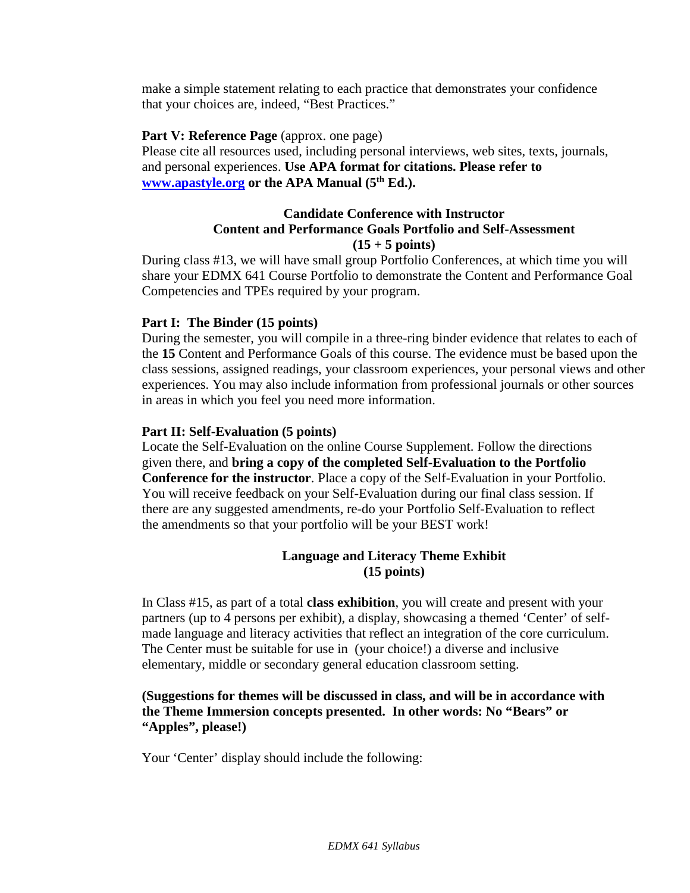make a simple statement relating to each practice that demonstrates your confidence that your choices are, indeed, "Best Practices."

#### **Part V: Reference Page** (approx. one page)

Please cite all resources used, including personal interviews, web sites, texts, journals, and personal experiences. **Use APA format for citations. Please refer to [www.apastyle.org](http://www.apastyle.org/) or the APA Manual (5th Ed.).**

#### **Candidate Conference with Instructor Content and Performance Goals Portfolio and Self-Assessment (15 + 5 points)**

During class #13, we will have small group Portfolio Conferences, at which time you will share your EDMX 641 Course Portfolio to demonstrate the Content and Performance Goal Competencies and TPEs required by your program.

#### **Part I: The Binder (15 points)**

During the semester, you will compile in a three-ring binder evidence that relates to each of the **15** Content and Performance Goals of this course. The evidence must be based upon the class sessions, assigned readings, your classroom experiences, your personal views and other experiences. You may also include information from professional journals or other sources in areas in which you feel you need more information.

#### **Part II: Self-Evaluation (5 points)**

Locate the Self-Evaluation on the online Course Supplement. Follow the directions given there, and **bring a copy of the completed Self-Evaluation to the Portfolio Conference for the instructor**. Place a copy of the Self-Evaluation in your Portfolio. You will receive feedback on your Self-Evaluation during our final class session. If there are any suggested amendments, re-do your Portfolio Self-Evaluation to reflect the amendments so that your portfolio will be your BEST work!

### **Language and Literacy Theme Exhibit (15 points)**

In Class #15, as part of a total **class exhibition**, you will create and present with your partners (up to 4 persons per exhibit), a display, showcasing a themed 'Center' of selfmade language and literacy activities that reflect an integration of the core curriculum. The Center must be suitable for use in (your choice!) a diverse and inclusive elementary, middle or secondary general education classroom setting.

#### **(Suggestions for themes will be discussed in class, and will be in accordance with the Theme Immersion concepts presented. In other words: No "Bears" or "Apples", please!)**

Your 'Center' display should include the following: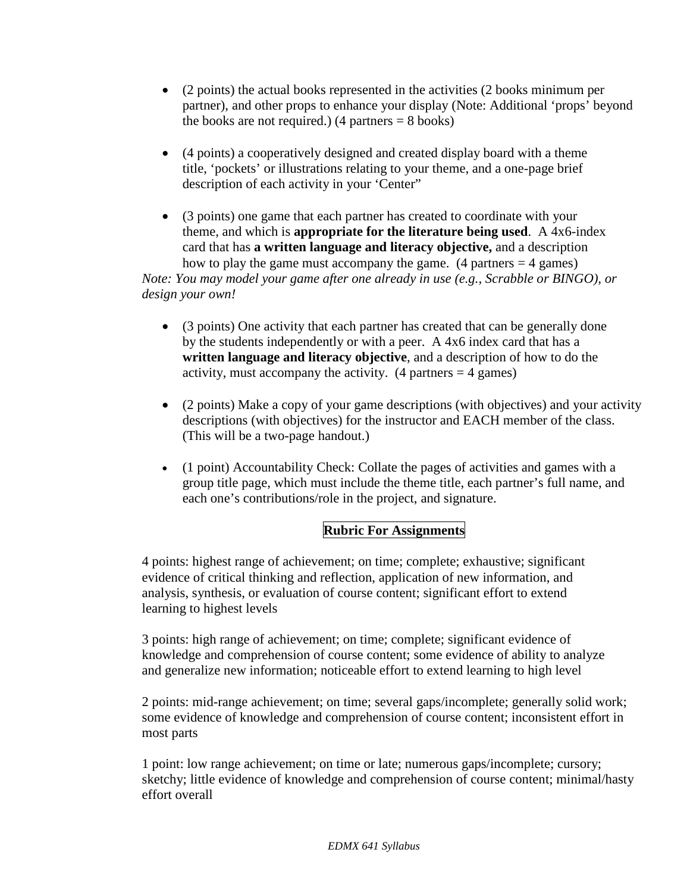- (2 points) the actual books represented in the activities (2 books minimum per partner), and other props to enhance your display (Note: Additional 'props' beyond the books are not required.) (4 partners  $= 8$  books)
- (4 points) a cooperatively designed and created display board with a theme title, 'pockets' or illustrations relating to your theme, and a one-page brief description of each activity in your 'Center"
- (3 points) one game that each partner has created to coordinate with your theme, and which is **appropriate for the literature being used**. A 4x6-index card that has **a written language and literacy objective,** and a description how to play the game must accompany the game.  $(4 \text{ partners} = 4 \text{ games})$

*Note: You may model your game after one already in use (e.g., Scrabble or BINGO), or design your own!*

- (3 points) One activity that each partner has created that can be generally done by the students independently or with a peer. A 4x6 index card that has a **written language and literacy objective**, and a description of how to do the activity, must accompany the activity.  $(4 \text{ partners} = 4 \text{ games})$
- (2 points) Make a copy of your game descriptions (with objectives) and your activity descriptions (with objectives) for the instructor and EACH member of the class. (This will be a two-page handout.)
- (1 point) Accountability Check: Collate the pages of activities and games with a group title page, which must include the theme title, each partner's full name, and each one's contributions/role in the project, and signature.

# **Rubric For Assignments**

4 points: highest range of achievement; on time; complete; exhaustive; significant evidence of critical thinking and reflection, application of new information, and analysis, synthesis, or evaluation of course content; significant effort to extend learning to highest levels

3 points: high range of achievement; on time; complete; significant evidence of knowledge and comprehension of course content; some evidence of ability to analyze and generalize new information; noticeable effort to extend learning to high level

2 points: mid-range achievement; on time; several gaps/incomplete; generally solid work; some evidence of knowledge and comprehension of course content; inconsistent effort in most parts

1 point: low range achievement; on time or late; numerous gaps/incomplete; cursory; sketchy; little evidence of knowledge and comprehension of course content; minimal/hasty effort overall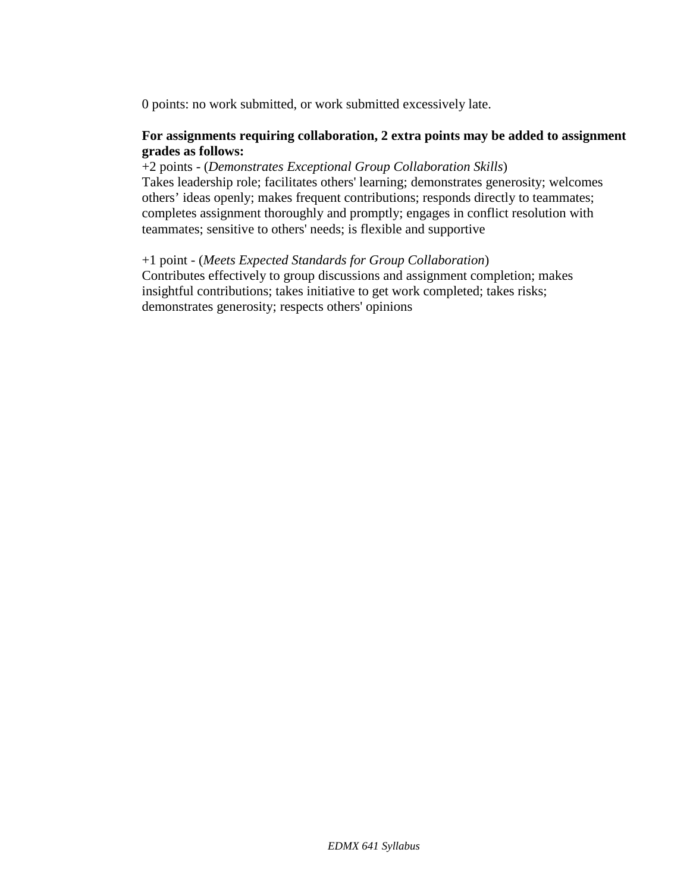0 points: no work submitted, or work submitted excessively late.

#### **For assignments requiring collaboration, 2 extra points may be added to assignment grades as follows:**

+2 points - (*Demonstrates Exceptional Group Collaboration Skills*) Takes leadership role; facilitates others' learning; demonstrates generosity; welcomes others' ideas openly; makes frequent contributions; responds directly to teammates; completes assignment thoroughly and promptly; engages in conflict resolution with teammates; sensitive to others' needs; is flexible and supportive

+1 point - (*Meets Expected Standards for Group Collaboration*) Contributes effectively to group discussions and assignment completion; makes insightful contributions; takes initiative to get work completed; takes risks; demonstrates generosity; respects others' opinions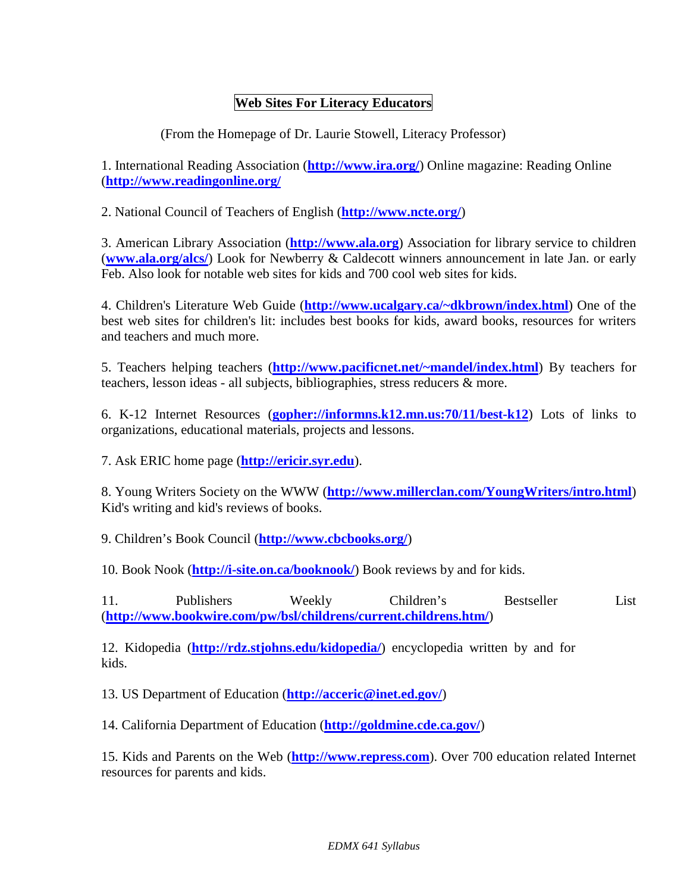## **Web Sites For Literacy Educators**

(From the Homepage of Dr. Laurie Stowell, Literacy Professor)

1. International Reading Association (**<http://www.ira.org/>**) Online magazine: Reading Online (**<http://www.readingonline.org/>**

2. National Council of Teachers of English (**<http://www.ncte.org/>**)

3. American Library Association (**[http://www.ala.org](http://www.ala.org/)**) Association for library service to children (**[www.ala.org/alcs/](http://www.ala.org/alcs/)**) Look for Newberry & Caldecott winners announcement in late Jan. or early Feb. Also look for notable web sites for kids and 700 cool web sites for kids.

4. Children's Literature Web Guide (**[http://www.ucalgary.ca/~dkbrown/index.html](http://www.ucalgary.ca/%7Edkbrown/index.html)**) One of the best web sites for children's lit: includes best books for kids, award books, resources for writers and teachers and much more.

5. Teachers helping teachers (**[http://www.pacificnet.net/~mandel/index.html](http://www.pacificnet.net/%7Emandel/index.html)**) By teachers for teachers, lesson ideas - all subjects, bibliographies, stress reducers & more.

6. K-12 Internet Resources (**[gopher://informns.k12.mn.us:70/11/best-k12](gopher://informns.k12.mn.us/11/best-k12)**) Lots of links to organizations, educational materials, projects and lessons.

7. Ask ERIC home page (**[http://ericir.syr.edu](http://ericir.syr.edu/)**).

8. Young Writers Society on the WWW (**<http://www.millerclan.com/YoungWriters/intro.html>**) Kid's writing and kid's reviews of books.

9. Children's Book Council (**<http://www.cbcbooks.org/>**)

10. Book Nook (**<http://i-site.on.ca/booknook/>**) Book reviews by and for kids.

11. Publishers Weekly Children's Bestseller List (**<http://www.bookwire.com/pw/bsl/childrens/current.childrens.htm/>**)

12. Kidopedia (**<http://rdz.stjohns.edu/kidopedia/>**) encyclopedia written by and for kids.

13. US Department of Education (**<http://acceric@inet.ed.gov/>**)

14. California Department of Education (**<http://goldmine.cde.ca.gov/>**)

15. Kids and Parents on the Web (**[http://www.repress.com](http://www.repress.com/)**). Over 700 education related Internet resources for parents and kids.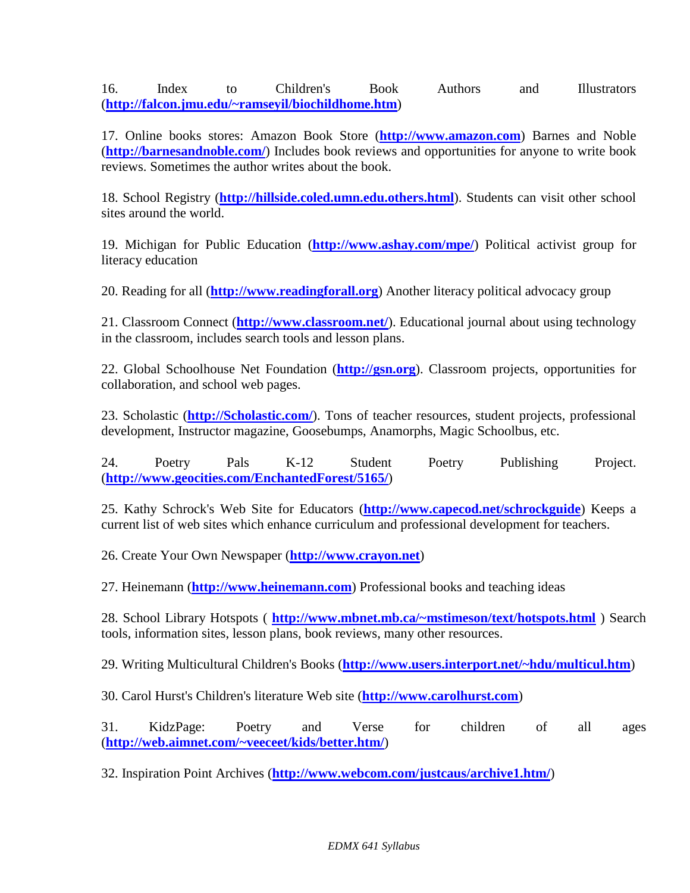16. Index to Children's Book Authors and Illustrators (**[http://falcon.jmu.edu/~ramseyil/biochildhome.htm](http://falcon.jmu.edu/%7Eramseyil/biochildhome.htm)**)

17. Online books stores: Amazon Book Store (**[http://www.amazon.com](http://www.amazon.com/)**) Barnes and Noble (**<http://barnesandnoble.com/>**) Includes book reviews and opportunities for anyone to write book reviews. Sometimes the author writes about the book.

18. School Registry (**[http://hillside.coled.umn.edu.others.html](http://hillside.coled.umn.edu.others.html/)**). Students can visit other school sites around the world.

19. Michigan for Public Education (**<http://www.ashay.com/mpe/>**) Political activist group for literacy education

20. Reading for all (**[http://www.readingforall.org](http://www.readingforall.org/)**) Another literacy political advocacy group

21. Classroom Connect (**<http://www.classroom.net/>**). Educational journal about using technology in the classroom, includes search tools and lesson plans.

22. Global Schoolhouse Net Foundation (**[http://gsn.org](http://gsn.org/)**). Classroom projects, opportunities for collaboration, and school web pages.

23. Scholastic (**[http://Scholastic.com/](http://scholastic.com/)**). Tons of teacher resources, student projects, professional development, Instructor magazine, Goosebumps, Anamorphs, Magic Schoolbus, etc.

24. Poetry Pals K-12 Student Poetry Publishing Project. (**<http://www.geocities.com/EnchantedForest/5165/>**)

25. Kathy Schrock's Web Site for Educators (**<http://www.capecod.net/schrockguide>**) Keeps a current list of web sites which enhance curriculum and professional development for teachers.

26. Create Your Own Newspaper (**[http://www.crayon.net](http://www.crayon.net/)**)

27. Heinemann (**[http://www.heinemann.com](http://www.heinemann.com/)**) Professional books and teaching ideas

28. School Library Hotspots ( **[http://www.mbnet.mb.ca/~mstimeson/text/hotspots.html](http://www.mbnet.mb.ca/%7Emstimeson/text/hotspots.html)** ) Search tools, information sites, lesson plans, book reviews, many other resources.

29. Writing Multicultural Children's Books (**[http://www.users.interport.net/~hdu/multicul.htm](http://www.users.interport.net/%7Ehdu/multicul.htm)**)

30. Carol Hurst's Children's literature Web site (**[http://www.carolhurst.com](http://www.carolhurst.com/)**)

31. KidzPage: Poetry and Verse for children of all ages (**[http://web.aimnet.com/~veeceet/kids/better.htm/](http://web.aimnet.com/%7Eveeceet/kids/better.htm/)**)

32. Inspiration Point Archives (**<http://www.webcom.com/justcaus/archive1.htm/>**)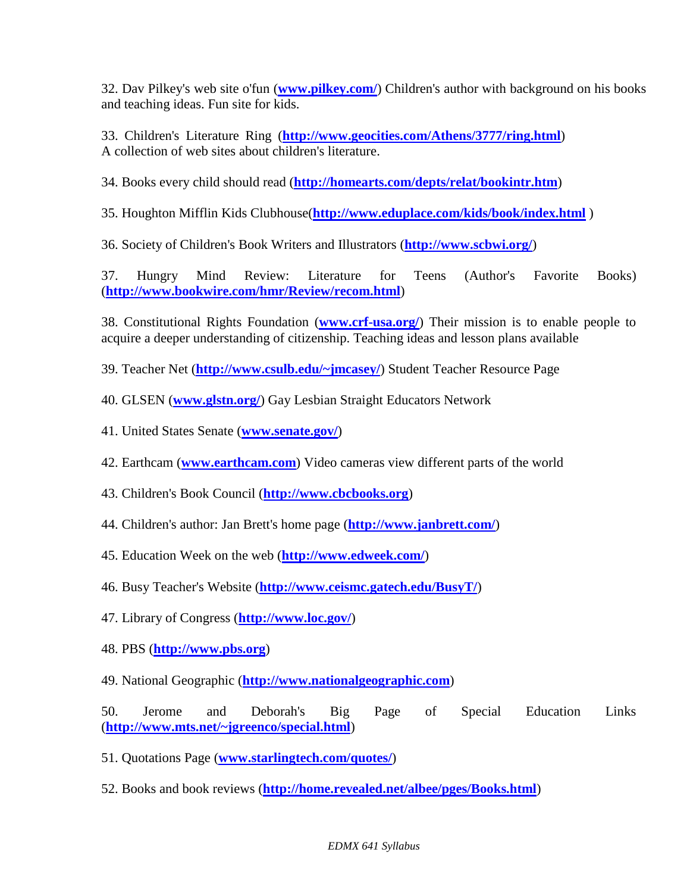32. Dav Pilkey's web site o'fun (**[www.pilkey.com/](http://www.pilkey.com/)**) Children's author with background on his books and teaching ideas. Fun site for kids.

33. Children's Literature Ring (**<http://www.geocities.com/Athens/3777/ring.html>**) A collection of web sites about children's literature.

34. Books every child should read (**<http://homearts.com/depts/relat/bookintr.htm>**)

35. Houghton Mifflin Kids Clubhouse(**<http://www.eduplace.com/kids/book/index.html>** )

36. Society of Children's Book Writers and Illustrators (**<http://www.scbwi.org/>**)

37. Hungry Mind Review: Literature for Teens (Author's Favorite Books) (**<http://www.bookwire.com/hmr/Review/recom.html>**)

38. Constitutional Rights Foundation (**[www.crf-usa.org/](http://www.crf-usa.org/)**) Their mission is to enable people to acquire a deeper understanding of citizenship. Teaching ideas and lesson plans available

39. Teacher Net (**[http://www.csulb.edu/~jmcasey/](http://www.csulb.edu/%7Ejmcasey/)**) Student Teacher Resource Page

40. GLSEN (**[www.glstn.org/](http://www.glstn.org/)**) Gay Lesbian Straight Educators Network

41. United States Senate (**[www.senate.gov/](http://www.senate.gov/)**)

42. Earthcam (**[www.earthcam.com](http://www.earthcam.com/)**) Video cameras view different parts of the world

43. Children's Book Council (**[http://www.cbcbooks.org](http://www.cbcbooks.org/)**)

44. Children's author: Jan Brett's home page (**<http://www.janbrett.com/>**)

45. Education Week on the web (**<http://www.edweek.com/>**)

46. Busy Teacher's Website (**<http://www.ceismc.gatech.edu/BusyT/>**)

47. Library of Congress (**<http://www.loc.gov/>**)

48. PBS (**[http://www.pbs.org](http://www.pbs.org/)**)

49. National Geographic (**[http://www.nationalgeographic.com](http://www.nationalgeographic.com/)**)

50. Jerome and Deborah's Big Page of Special Education Links (**[http://www.mts.net/~jgreenco/special.html](http://www.mts.net/%7Ejgreenco/special.html)**)

51. Quotations Page (**[www.starlingtech.com/quotes/](http://www.starlingtech.com/quotes/)**)

52. Books and book reviews (**<http://home.revealed.net/albee/pges/Books.html>**)